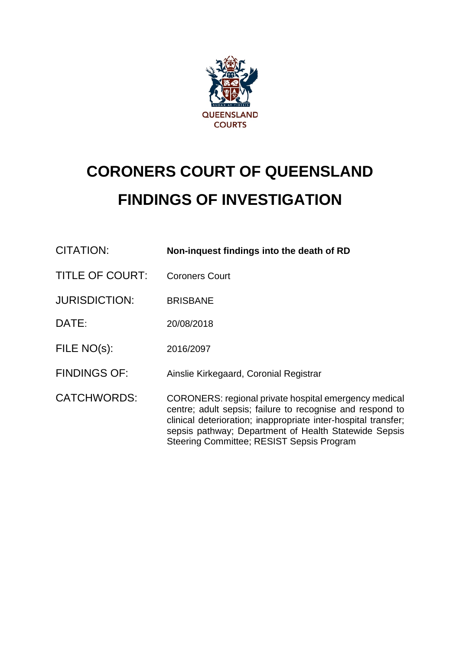

# **CORONERS COURT OF QUEENSLAND FINDINGS OF INVESTIGATION**

| CITATION:              | Non-inquest findings into the death of RD                                                                                                                                                                                                                                                         |
|------------------------|---------------------------------------------------------------------------------------------------------------------------------------------------------------------------------------------------------------------------------------------------------------------------------------------------|
| <b>TITLE OF COURT:</b> | <b>Coroners Court</b>                                                                                                                                                                                                                                                                             |
| <b>JURISDICTION:</b>   | <b>BRISBANE</b>                                                                                                                                                                                                                                                                                   |
| DATE:                  | 20/08/2018                                                                                                                                                                                                                                                                                        |
| FILE NO(s):            | 2016/2097                                                                                                                                                                                                                                                                                         |
| <b>FINDINGS OF:</b>    | Ainslie Kirkegaard, Coronial Registrar                                                                                                                                                                                                                                                            |
| <b>CATCHWORDS:</b>     | CORONERS: regional private hospital emergency medical<br>centre; adult sepsis; failure to recognise and respond to<br>clinical deterioration; inappropriate inter-hospital transfer;<br>sepsis pathway; Department of Health Statewide Sepsis<br><b>Steering Committee; RESIST Sepsis Program</b> |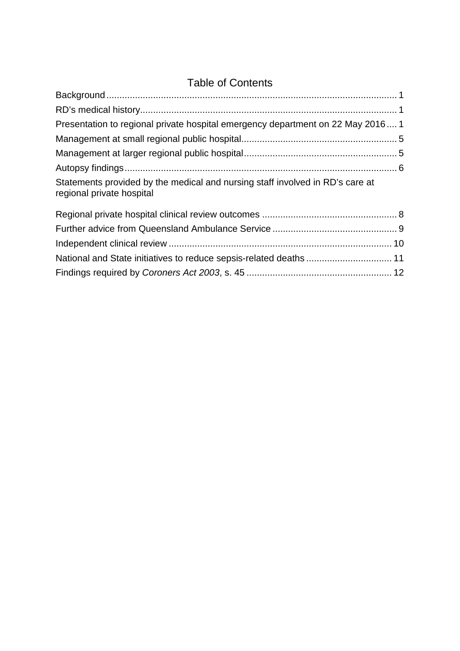# Table of Contents

| Presentation to regional private hospital emergency department on 22 May 20161                             |  |
|------------------------------------------------------------------------------------------------------------|--|
|                                                                                                            |  |
|                                                                                                            |  |
|                                                                                                            |  |
| Statements provided by the medical and nursing staff involved in RD's care at<br>regional private hospital |  |
|                                                                                                            |  |
|                                                                                                            |  |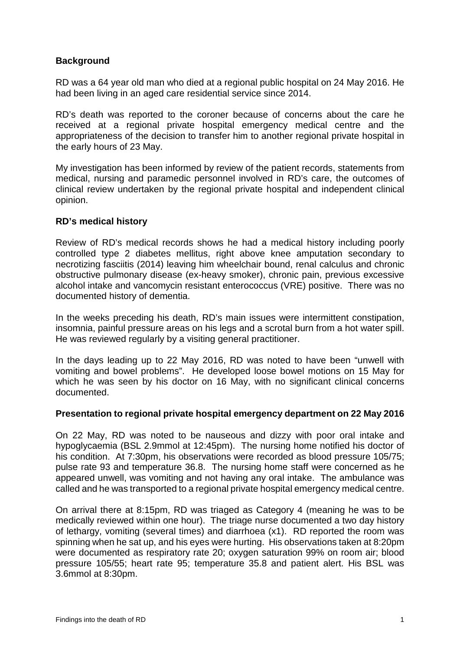# <span id="page-2-0"></span>**Background**

RD was a 64 year old man who died at a regional public hospital on 24 May 2016. He had been living in an aged care residential service since 2014.

RD's death was reported to the coroner because of concerns about the care he received at a regional private hospital emergency medical centre and the appropriateness of the decision to transfer him to another regional private hospital in the early hours of 23 May.

My investigation has been informed by review of the patient records, statements from medical, nursing and paramedic personnel involved in RD's care, the outcomes of clinical review undertaken by the regional private hospital and independent clinical opinion.

#### <span id="page-2-1"></span>**RD's medical history**

Review of RD's medical records shows he had a medical history including poorly controlled type 2 diabetes mellitus, right above knee amputation secondary to necrotizing fasciitis (2014) leaving him wheelchair bound, renal calculus and chronic obstructive pulmonary disease (ex-heavy smoker), chronic pain, previous excessive alcohol intake and vancomycin resistant enterococcus (VRE) positive. There was no documented history of dementia.

In the weeks preceding his death, RD's main issues were intermittent constipation, insomnia, painful pressure areas on his legs and a scrotal burn from a hot water spill. He was reviewed regularly by a visiting general practitioner.

In the days leading up to 22 May 2016, RD was noted to have been "unwell with vomiting and bowel problems". He developed loose bowel motions on 15 May for which he was seen by his doctor on 16 May, with no significant clinical concerns documented.

# <span id="page-2-2"></span>**Presentation to regional private hospital emergency department on 22 May 2016**

On 22 May, RD was noted to be nauseous and dizzy with poor oral intake and hypoglycaemia (BSL 2.9mmol at 12:45pm). The nursing home notified his doctor of his condition. At 7:30pm, his observations were recorded as blood pressure 105/75; pulse rate 93 and temperature 36.8. The nursing home staff were concerned as he appeared unwell, was vomiting and not having any oral intake. The ambulance was called and he was transported to a regional private hospital emergency medical centre.

On arrival there at 8:15pm, RD was triaged as Category 4 (meaning he was to be medically reviewed within one hour). The triage nurse documented a two day history of lethargy, vomiting (several times) and diarrhoea (x1). RD reported the room was spinning when he sat up, and his eyes were hurting. His observations taken at 8:20pm were documented as respiratory rate 20; oxygen saturation 99% on room air; blood pressure 105/55; heart rate 95; temperature 35.8 and patient alert. His BSL was 3.6mmol at 8:30pm.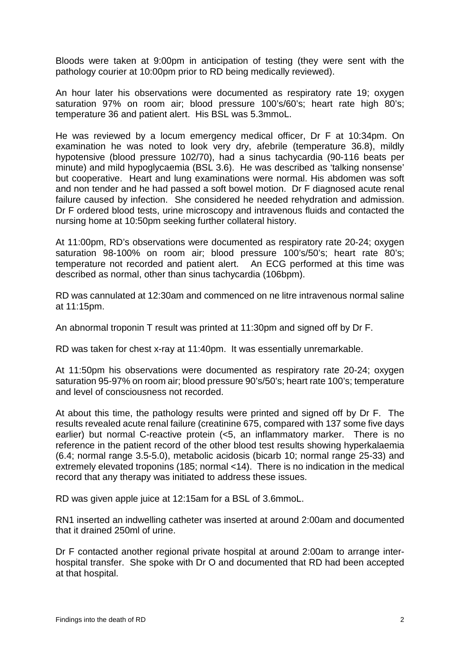Bloods were taken at 9:00pm in anticipation of testing (they were sent with the pathology courier at 10:00pm prior to RD being medically reviewed).

An hour later his observations were documented as respiratory rate 19; oxygen saturation 97% on room air; blood pressure 100's/60's; heart rate high 80's; temperature 36 and patient alert. His BSL was 5.3mmoL.

He was reviewed by a locum emergency medical officer, Dr F at 10:34pm. On examination he was noted to look very dry, afebrile (temperature 36.8), mildly hypotensive (blood pressure 102/70), had a sinus tachycardia (90-116 beats per minute) and mild hypoglycaemia (BSL 3.6). He was described as 'talking nonsense' but cooperative. Heart and lung examinations were normal. His abdomen was soft and non tender and he had passed a soft bowel motion. Dr F diagnosed acute renal failure caused by infection. She considered he needed rehydration and admission. Dr F ordered blood tests, urine microscopy and intravenous fluids and contacted the nursing home at 10:50pm seeking further collateral history.

At 11:00pm, RD's observations were documented as respiratory rate 20-24; oxygen saturation 98-100% on room air; blood pressure 100's/50's; heart rate 80's; temperature not recorded and patient alert. An ECG performed at this time was described as normal, other than sinus tachycardia (106bpm).

RD was cannulated at 12:30am and commenced on ne litre intravenous normal saline at 11:15pm.

An abnormal troponin T result was printed at 11:30pm and signed off by Dr F.

RD was taken for chest x-ray at 11:40pm. It was essentially unremarkable.

At 11:50pm his observations were documented as respiratory rate 20-24; oxygen saturation 95-97% on room air; blood pressure 90's/50's; heart rate 100's; temperature and level of consciousness not recorded.

At about this time, the pathology results were printed and signed off by Dr F. The results revealed acute renal failure (creatinine 675, compared with 137 some five days earlier) but normal C-reactive protein (<5, an inflammatory marker. There is no reference in the patient record of the other blood test results showing hyperkalaemia (6.4; normal range 3.5-5.0), metabolic acidosis (bicarb 10; normal range 25-33) and extremely elevated troponins (185; normal <14). There is no indication in the medical record that any therapy was initiated to address these issues.

RD was given apple juice at 12:15am for a BSL of 3.6mmoL.

RN1 inserted an indwelling catheter was inserted at around 2:00am and documented that it drained 250ml of urine.

Dr F contacted another regional private hospital at around 2:00am to arrange interhospital transfer. She spoke with Dr O and documented that RD had been accepted at that hospital.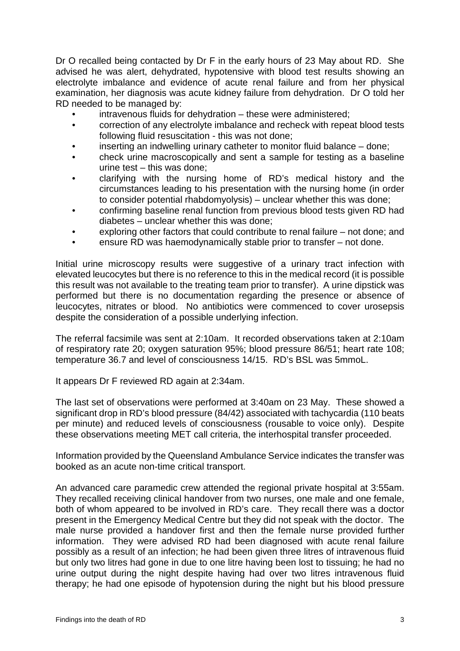Dr O recalled being contacted by Dr F in the early hours of 23 May about RD. She advised he was alert, dehydrated, hypotensive with blood test results showing an electrolyte imbalance and evidence of acute renal failure and from her physical examination, her diagnosis was acute kidney failure from dehydration. Dr O told her RD needed to be managed by:

- intravenous fluids for dehydration these were administered;
- correction of any electrolyte imbalance and recheck with repeat blood tests following fluid resuscitation - this was not done;
- inserting an indwelling urinary catheter to monitor fluid balance done;
- check urine macroscopically and sent a sample for testing as a baseline urine test – this was done;
- clarifying with the nursing home of RD's medical history and the circumstances leading to his presentation with the nursing home (in order to consider potential rhabdomyolysis) – unclear whether this was done;
- confirming baseline renal function from previous blood tests given RD had diabetes – unclear whether this was done;
- exploring other factors that could contribute to renal failure not done; and
- ensure RD was haemodynamically stable prior to transfer not done.

Initial urine microscopy results were suggestive of a urinary tract infection with elevated leucocytes but there is no reference to this in the medical record (it is possible this result was not available to the treating team prior to transfer). A urine dipstick was performed but there is no documentation regarding the presence or absence of leucocytes, nitrates or blood. No antibiotics were commenced to cover urosepsis despite the consideration of a possible underlying infection.

The referral facsimile was sent at 2:10am. It recorded observations taken at 2:10am of respiratory rate 20; oxygen saturation 95%; blood pressure 86/51; heart rate 108; temperature 36.7 and level of consciousness 14/15. RD's BSL was 5mmoL.

It appears Dr F reviewed RD again at 2:34am.

The last set of observations were performed at 3:40am on 23 May. These showed a significant drop in RD's blood pressure (84/42) associated with tachycardia (110 beats per minute) and reduced levels of consciousness (rousable to voice only). Despite these observations meeting MET call criteria, the interhospital transfer proceeded.

Information provided by the Queensland Ambulance Service indicates the transfer was booked as an acute non-time critical transport.

An advanced care paramedic crew attended the regional private hospital at 3:55am. They recalled receiving clinical handover from two nurses, one male and one female, both of whom appeared to be involved in RD's care. They recall there was a doctor present in the Emergency Medical Centre but they did not speak with the doctor. The male nurse provided a handover first and then the female nurse provided further information. They were advised RD had been diagnosed with acute renal failure possibly as a result of an infection; he had been given three litres of intravenous fluid but only two litres had gone in due to one litre having been lost to tissuing; he had no urine output during the night despite having had over two litres intravenous fluid therapy; he had one episode of hypotension during the night but his blood pressure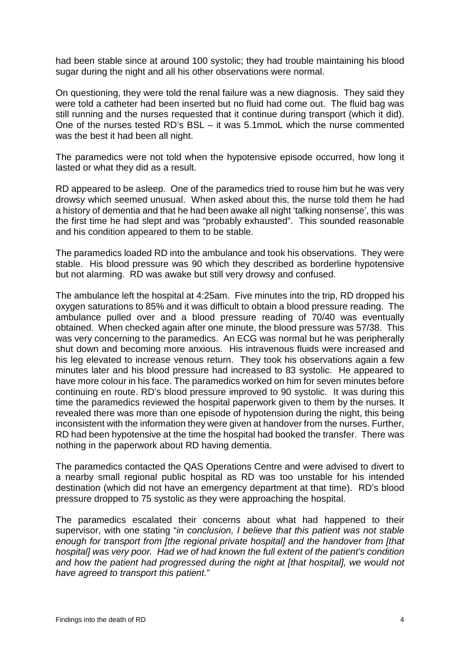had been stable since at around 100 systolic; they had trouble maintaining his blood sugar during the night and all his other observations were normal.

On questioning, they were told the renal failure was a new diagnosis. They said they were told a catheter had been inserted but no fluid had come out. The fluid bag was still running and the nurses requested that it continue during transport (which it did). One of the nurses tested RD's BSL – it was 5.1mmoL which the nurse commented was the best it had been all night.

The paramedics were not told when the hypotensive episode occurred, how long it lasted or what they did as a result.

RD appeared to be asleep. One of the paramedics tried to rouse him but he was very drowsy which seemed unusual. When asked about this, the nurse told them he had a history of dementia and that he had been awake all night 'talking nonsense', this was the first time he had slept and was "probably exhausted". This sounded reasonable and his condition appeared to them to be stable.

The paramedics loaded RD into the ambulance and took his observations. They were stable. His blood pressure was 90 which they described as borderline hypotensive but not alarming. RD was awake but still very drowsy and confused.

The ambulance left the hospital at 4:25am. Five minutes into the trip, RD dropped his oxygen saturations to 85% and it was difficult to obtain a blood pressure reading. The ambulance pulled over and a blood pressure reading of 70/40 was eventually obtained. When checked again after one minute, the blood pressure was 57/38. This was very concerning to the paramedics. An ECG was normal but he was peripherally shut down and becoming more anxious. His intravenous fluids were increased and his leg elevated to increase venous return. They took his observations again a few minutes later and his blood pressure had increased to 83 systolic. He appeared to have more colour in his face. The paramedics worked on him for seven minutes before continuing en route. RD's blood pressure improved to 90 systolic. It was during this time the paramedics reviewed the hospital paperwork given to them by the nurses. It revealed there was more than one episode of hypotension during the night, this being inconsistent with the information they were given at handover from the nurses. Further, RD had been hypotensive at the time the hospital had booked the transfer. There was nothing in the paperwork about RD having dementia.

The paramedics contacted the QAS Operations Centre and were advised to divert to a nearby small regional public hospital as RD was too unstable for his intended destination (which did not have an emergency department at that time). RD's blood pressure dropped to 75 systolic as they were approaching the hospital.

The paramedics escalated their concerns about what had happened to their supervisor, with one stating "*in conclusion, I believe that this patient was not stable enough for transport from [the regional private hospital] and the handover from [that hospital] was very poor. Had we of had known the full extent of the patient's condition and how the patient had progressed during the night at [that hospital], we would not have agreed to transport this patient.*"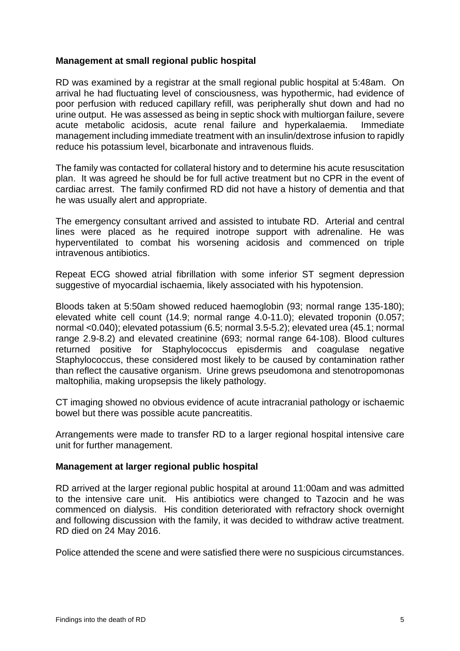#### <span id="page-6-0"></span>**Management at small regional public hospital**

RD was examined by a registrar at the small regional public hospital at 5:48am. On arrival he had fluctuating level of consciousness, was hypothermic, had evidence of poor perfusion with reduced capillary refill, was peripherally shut down and had no urine output. He was assessed as being in septic shock with multiorgan failure, severe acute metabolic acidosis, acute renal failure and hyperkalaemia. Immediate management including immediate treatment with an insulin/dextrose infusion to rapidly reduce his potassium level, bicarbonate and intravenous fluids.

The family was contacted for collateral history and to determine his acute resuscitation plan. It was agreed he should be for full active treatment but no CPR in the event of cardiac arrest. The family confirmed RD did not have a history of dementia and that he was usually alert and appropriate.

The emergency consultant arrived and assisted to intubate RD. Arterial and central lines were placed as he required inotrope support with adrenaline. He was hyperventilated to combat his worsening acidosis and commenced on triple intravenous antibiotics.

Repeat ECG showed atrial fibrillation with some inferior ST segment depression suggestive of myocardial ischaemia, likely associated with his hypotension.

Bloods taken at 5:50am showed reduced haemoglobin (93; normal range 135-180); elevated white cell count (14.9; normal range 4.0-11.0); elevated troponin (0.057; normal <0.040); elevated potassium (6.5; normal 3.5-5.2); elevated urea (45.1; normal range 2.9-8.2) and elevated creatinine (693; normal range 64-108). Blood cultures returned positive for Staphylococcus episdermis and coagulase negative Staphylococcus, these considered most likely to be caused by contamination rather than reflect the causative organism. Urine grews pseudomona and stenotropomonas maltophilia, making uropsepsis the likely pathology.

CT imaging showed no obvious evidence of acute intracranial pathology or ischaemic bowel but there was possible acute pancreatitis.

Arrangements were made to transfer RD to a larger regional hospital intensive care unit for further management.

#### <span id="page-6-1"></span>**Management at larger regional public hospital**

RD arrived at the larger regional public hospital at around 11:00am and was admitted to the intensive care unit. His antibiotics were changed to Tazocin and he was commenced on dialysis. His condition deteriorated with refractory shock overnight and following discussion with the family, it was decided to withdraw active treatment. RD died on 24 May 2016.

Police attended the scene and were satisfied there were no suspicious circumstances.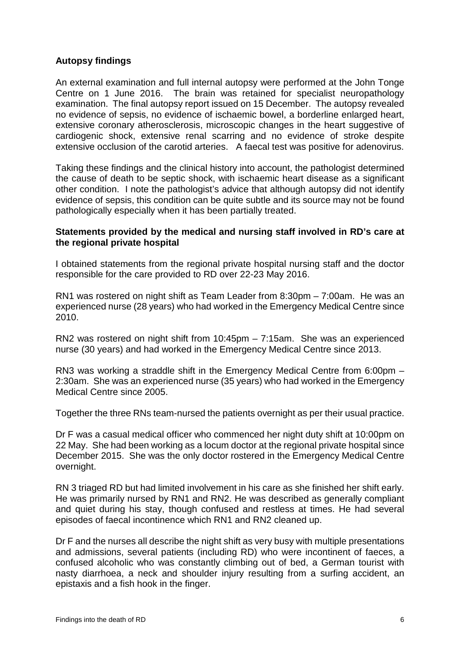# <span id="page-7-0"></span>**Autopsy findings**

An external examination and full internal autopsy were performed at the John Tonge Centre on 1 June 2016. The brain was retained for specialist neuropathology examination. The final autopsy report issued on 15 December. The autopsy revealed no evidence of sepsis, no evidence of ischaemic bowel, a borderline enlarged heart, extensive coronary atherosclerosis, microscopic changes in the heart suggestive of cardiogenic shock, extensive renal scarring and no evidence of stroke despite extensive occlusion of the carotid arteries. A faecal test was positive for adenovirus.

Taking these findings and the clinical history into account, the pathologist determined the cause of death to be septic shock, with ischaemic heart disease as a significant other condition. I note the pathologist's advice that although autopsy did not identify evidence of sepsis, this condition can be quite subtle and its source may not be found pathologically especially when it has been partially treated.

#### **Statements provided by the medical and nursing staff involved in RD's care at the regional private hospital**

I obtained statements from the regional private hospital nursing staff and the doctor responsible for the care provided to RD over 22-23 May 2016.

RN1 was rostered on night shift as Team Leader from 8:30pm – 7:00am. He was an experienced nurse (28 years) who had worked in the Emergency Medical Centre since 2010.

RN2 was rostered on night shift from 10:45pm – 7:15am. She was an experienced nurse (30 years) and had worked in the Emergency Medical Centre since 2013.

RN3 was working a straddle shift in the Emergency Medical Centre from 6:00pm – 2:30am. She was an experienced nurse (35 years) who had worked in the Emergency Medical Centre since 2005.

Together the three RNs team-nursed the patients overnight as per their usual practice.

Dr F was a casual medical officer who commenced her night duty shift at 10:00pm on 22 May. She had been working as a locum doctor at the regional private hospital since December 2015. She was the only doctor rostered in the Emergency Medical Centre overnight.

RN 3 triaged RD but had limited involvement in his care as she finished her shift early. He was primarily nursed by RN1 and RN2. He was described as generally compliant and quiet during his stay, though confused and restless at times. He had several episodes of faecal incontinence which RN1 and RN2 cleaned up.

Dr F and the nurses all describe the night shift as very busy with multiple presentations and admissions, several patients (including RD) who were incontinent of faeces, a confused alcoholic who was constantly climbing out of bed, a German tourist with nasty diarrhoea, a neck and shoulder injury resulting from a surfing accident, an epistaxis and a fish hook in the finger.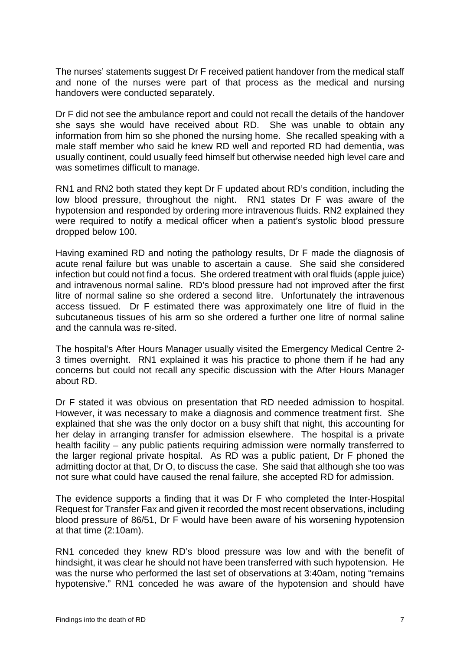The nurses' statements suggest Dr F received patient handover from the medical staff and none of the nurses were part of that process as the medical and nursing handovers were conducted separately.

Dr F did not see the ambulance report and could not recall the details of the handover she says she would have received about RD. She was unable to obtain any information from him so she phoned the nursing home. She recalled speaking with a male staff member who said he knew RD well and reported RD had dementia, was usually continent, could usually feed himself but otherwise needed high level care and was sometimes difficult to manage.

RN1 and RN2 both stated they kept Dr F updated about RD's condition, including the low blood pressure, throughout the night. RN1 states Dr F was aware of the hypotension and responded by ordering more intravenous fluids. RN2 explained they were required to notify a medical officer when a patient's systolic blood pressure dropped below 100.

Having examined RD and noting the pathology results, Dr F made the diagnosis of acute renal failure but was unable to ascertain a cause. She said she considered infection but could not find a focus. She ordered treatment with oral fluids (apple juice) and intravenous normal saline. RD's blood pressure had not improved after the first litre of normal saline so she ordered a second litre. Unfortunately the intravenous access tissued. Dr F estimated there was approximately one litre of fluid in the subcutaneous tissues of his arm so she ordered a further one litre of normal saline and the cannula was re-sited.

The hospital's After Hours Manager usually visited the Emergency Medical Centre 2- 3 times overnight. RN1 explained it was his practice to phone them if he had any concerns but could not recall any specific discussion with the After Hours Manager about RD.

Dr F stated it was obvious on presentation that RD needed admission to hospital. However, it was necessary to make a diagnosis and commence treatment first. She explained that she was the only doctor on a busy shift that night, this accounting for her delay in arranging transfer for admission elsewhere. The hospital is a private health facility – any public patients requiring admission were normally transferred to the larger regional private hospital. As RD was a public patient, Dr F phoned the admitting doctor at that, Dr O, to discuss the case. She said that although she too was not sure what could have caused the renal failure, she accepted RD for admission.

The evidence supports a finding that it was Dr F who completed the Inter-Hospital Request for Transfer Fax and given it recorded the most recent observations, including blood pressure of 86/51, Dr F would have been aware of his worsening hypotension at that time (2:10am).

RN1 conceded they knew RD's blood pressure was low and with the benefit of hindsight, it was clear he should not have been transferred with such hypotension. He was the nurse who performed the last set of observations at 3:40am, noting "remains hypotensive." RN1 conceded he was aware of the hypotension and should have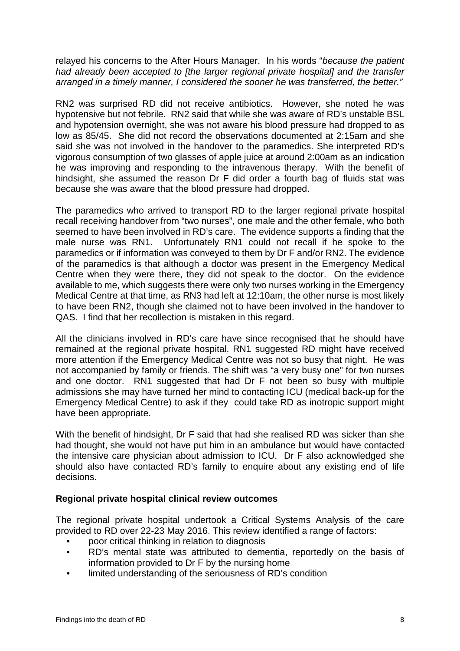relayed his concerns to the After Hours Manager. In his words "*because the patient had already been accepted to [the larger regional private hospital] and the transfer arranged in a timely manner, I considered the sooner he was transferred, the better."*

RN2 was surprised RD did not receive antibiotics. However, she noted he was hypotensive but not febrile. RN2 said that while she was aware of RD's unstable BSL and hypotension overnight, she was not aware his blood pressure had dropped to as low as 85/45. She did not record the observations documented at 2:15am and she said she was not involved in the handover to the paramedics. She interpreted RD's vigorous consumption of two glasses of apple juice at around 2:00am as an indication he was improving and responding to the intravenous therapy. With the benefit of hindsight, she assumed the reason Dr F did order a fourth bag of fluids stat was because she was aware that the blood pressure had dropped.

The paramedics who arrived to transport RD to the larger regional private hospital recall receiving handover from "two nurses", one male and the other female, who both seemed to have been involved in RD's care. The evidence supports a finding that the male nurse was RN1. Unfortunately RN1 could not recall if he spoke to the paramedics or if information was conveyed to them by Dr F and/or RN2. The evidence of the paramedics is that although a doctor was present in the Emergency Medical Centre when they were there, they did not speak to the doctor. On the evidence available to me, which suggests there were only two nurses working in the Emergency Medical Centre at that time, as RN3 had left at 12:10am, the other nurse is most likely to have been RN2, though she claimed not to have been involved in the handover to QAS. I find that her recollection is mistaken in this regard.

All the clinicians involved in RD's care have since recognised that he should have remained at the regional private hospital. RN1 suggested RD might have received more attention if the Emergency Medical Centre was not so busy that night. He was not accompanied by family or friends. The shift was "a very busy one" for two nurses and one doctor. RN1 suggested that had Dr F not been so busy with multiple admissions she may have turned her mind to contacting ICU (medical back-up for the Emergency Medical Centre) to ask if they could take RD as inotropic support might have been appropriate.

With the benefit of hindsight, Dr F said that had she realised RD was sicker than she had thought, she would not have put him in an ambulance but would have contacted the intensive care physician about admission to ICU. Dr F also acknowledged she should also have contacted RD's family to enquire about any existing end of life decisions.

# <span id="page-9-0"></span>**Regional private hospital clinical review outcomes**

The regional private hospital undertook a Critical Systems Analysis of the care provided to RD over 22-23 May 2016. This review identified a range of factors:

- poor critical thinking in relation to diagnosis
- RD's mental state was attributed to dementia, reportedly on the basis of information provided to Dr F by the nursing home
- limited understanding of the seriousness of RD's condition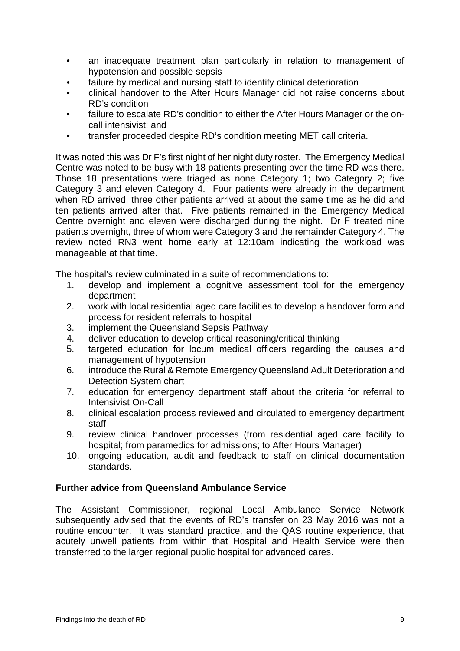- an inadequate treatment plan particularly in relation to management of hypotension and possible sepsis
- failure by medical and nursing staff to identify clinical deterioration
- clinical handover to the After Hours Manager did not raise concerns about RD's condition
- failure to escalate RD's condition to either the After Hours Manager or the oncall intensivist; and
- transfer proceeded despite RD's condition meeting MET call criteria.

It was noted this was Dr F's first night of her night duty roster. The Emergency Medical Centre was noted to be busy with 18 patients presenting over the time RD was there. Those 18 presentations were triaged as none Category 1; two Category 2; five Category 3 and eleven Category 4. Four patients were already in the department when RD arrived, three other patients arrived at about the same time as he did and ten patients arrived after that. Five patients remained in the Emergency Medical Centre overnight and eleven were discharged during the night. Dr F treated nine patients overnight, three of whom were Category 3 and the remainder Category 4. The review noted RN3 went home early at 12:10am indicating the workload was manageable at that time.

The hospital's review culminated in a suite of recommendations to:

- 1. develop and implement a cognitive assessment tool for the emergency department
- 2. work with local residential aged care facilities to develop a handover form and process for resident referrals to hospital
- 3. implement the Queensland Sepsis Pathway
- 4. deliver education to develop critical reasoning/critical thinking
- 5. targeted education for locum medical officers regarding the causes and management of hypotension
- 6. introduce the Rural & Remote Emergency Queensland Adult Deterioration and Detection System chart
- 7. education for emergency department staff about the criteria for referral to Intensivist On-Call
- 8. clinical escalation process reviewed and circulated to emergency department staff
- 9. review clinical handover processes (from residential aged care facility to hospital: from paramedics for admissions; to After Hours Manager)
- 10. ongoing education, audit and feedback to staff on clinical documentation standards.

# <span id="page-10-0"></span>**Further advice from Queensland Ambulance Service**

The Assistant Commissioner, regional Local Ambulance Service Network subsequently advised that the events of RD's transfer on 23 May 2016 was not a routine encounter. It was standard practice, and the QAS routine experience, that acutely unwell patients from within that Hospital and Health Service were then transferred to the larger regional public hospital for advanced cares.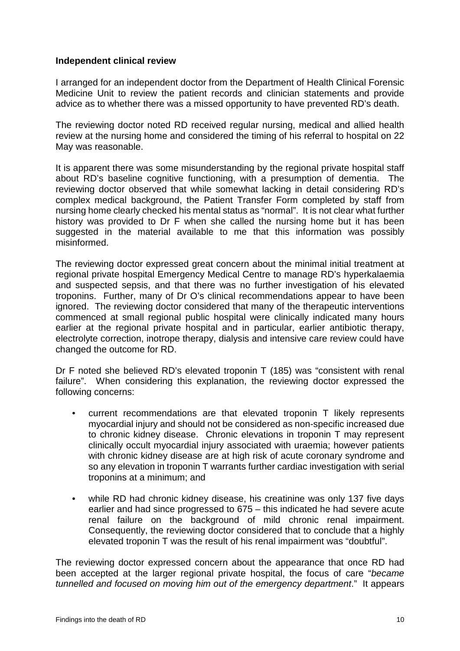#### <span id="page-11-0"></span>**Independent clinical review**

I arranged for an independent doctor from the Department of Health Clinical Forensic Medicine Unit to review the patient records and clinician statements and provide advice as to whether there was a missed opportunity to have prevented RD's death.

The reviewing doctor noted RD received regular nursing, medical and allied health review at the nursing home and considered the timing of his referral to hospital on 22 May was reasonable.

It is apparent there was some misunderstanding by the regional private hospital staff about RD's baseline cognitive functioning, with a presumption of dementia. The reviewing doctor observed that while somewhat lacking in detail considering RD's complex medical background, the Patient Transfer Form completed by staff from nursing home clearly checked his mental status as "normal". It is not clear what further history was provided to Dr F when she called the nursing home but it has been suggested in the material available to me that this information was possibly misinformed.

The reviewing doctor expressed great concern about the minimal initial treatment at regional private hospital Emergency Medical Centre to manage RD's hyperkalaemia and suspected sepsis, and that there was no further investigation of his elevated troponins. Further, many of Dr O's clinical recommendations appear to have been ignored. The reviewing doctor considered that many of the therapeutic interventions commenced at small regional public hospital were clinically indicated many hours earlier at the regional private hospital and in particular, earlier antibiotic therapy, electrolyte correction, inotrope therapy, dialysis and intensive care review could have changed the outcome for RD.

Dr F noted she believed RD's elevated troponin T (185) was "consistent with renal failure". When considering this explanation, the reviewing doctor expressed the following concerns:

- current recommendations are that elevated troponin T likely represents myocardial injury and should not be considered as non-specific increased due to chronic kidney disease. Chronic elevations in troponin T may represent clinically occult myocardial injury associated with uraemia; however patients with chronic kidney disease are at high risk of acute coronary syndrome and so any elevation in troponin T warrants further cardiac investigation with serial troponins at a minimum; and
- while RD had chronic kidney disease, his creatinine was only 137 five days earlier and had since progressed to 675 – this indicated he had severe acute renal failure on the background of mild chronic renal impairment. Consequently, the reviewing doctor considered that to conclude that a highly elevated troponin T was the result of his renal impairment was "doubtful".

The reviewing doctor expressed concern about the appearance that once RD had been accepted at the larger regional private hospital, the focus of care "*became tunnelled and focused on moving him out of the emergency department*." It appears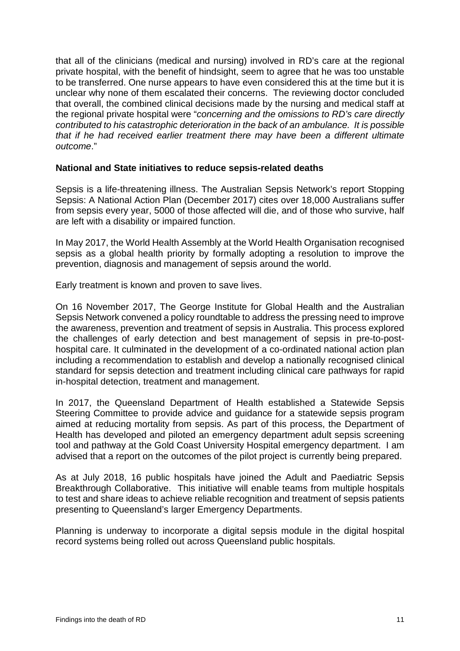that all of the clinicians (medical and nursing) involved in RD's care at the regional private hospital, with the benefit of hindsight, seem to agree that he was too unstable to be transferred. One nurse appears to have even considered this at the time but it is unclear why none of them escalated their concerns. The reviewing doctor concluded that overall, the combined clinical decisions made by the nursing and medical staff at the regional private hospital were "*concerning and the omissions to RD's care directly contributed to his catastrophic deterioration in the back of an ambulance. It is possible that if he had received earlier treatment there may have been a different ultimate outcome*."

# <span id="page-12-0"></span>**National and State initiatives to reduce sepsis-related deaths**

Sepsis is a life-threatening illness. The Australian Sepsis Network's report Stopping Sepsis: A National Action Plan (December 2017) cites over 18,000 Australians suffer from sepsis every year, 5000 of those affected will die, and of those who survive, half are left with a disability or impaired function.

In May 2017, the World Health Assembly at the World Health Organisation recognised sepsis as a global health priority by formally adopting a resolution to improve the prevention, diagnosis and management of sepsis around the world.

Early treatment is known and proven to save lives.

On 16 November 2017, The George Institute for Global Health and the Australian Sepsis Network convened a policy roundtable to address the pressing need to improve the awareness, prevention and treatment of sepsis in Australia. This process explored the challenges of early detection and best management of sepsis in pre-to-posthospital care. It culminated in the development of a co-ordinated national action plan including a recommendation to establish and develop a nationally recognised clinical standard for sepsis detection and treatment including clinical care pathways for rapid in-hospital detection, treatment and management.

In 2017, the Queensland Department of Health established a Statewide Sepsis Steering Committee to provide advice and guidance for a statewide sepsis program aimed at reducing mortality from sepsis. As part of this process, the Department of Health has developed and piloted an emergency department adult sepsis screening tool and pathway at the Gold Coast University Hospital emergency department. I am advised that a report on the outcomes of the pilot project is currently being prepared.

As at July 2018, 16 public hospitals have joined the Adult and Paediatric Sepsis Breakthrough Collaborative. This initiative will enable teams from multiple hospitals to test and share ideas to achieve reliable recognition and treatment of sepsis patients presenting to Queensland's larger Emergency Departments.

Planning is underway to incorporate a digital sepsis module in the digital hospital record systems being rolled out across Queensland public hospitals.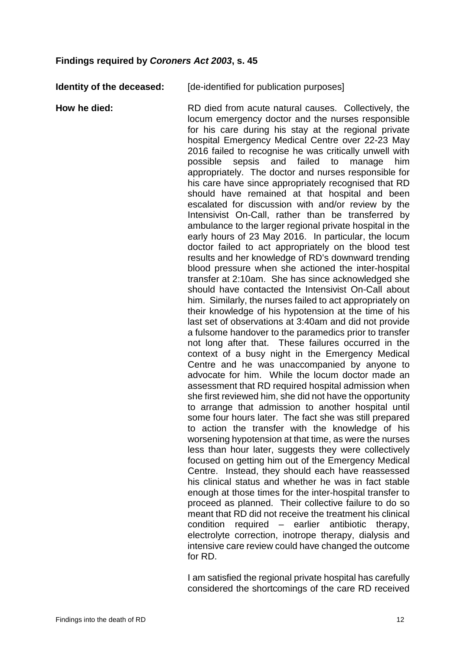# <span id="page-13-0"></span>**Findings required by** *Coroners Act 2003***, s. 45**

**Identity of the deceased:** [de-identified for publication purposes]

**How he died:** RD died from acute natural causes. Collectively, the locum emergency doctor and the nurses responsible for his care during his stay at the regional private hospital Emergency Medical Centre over 22-23 May 2016 failed to recognise he was critically unwell with possible sepsis and failed to manage him appropriately. The doctor and nurses responsible for his care have since appropriately recognised that RD should have remained at that hospital and been escalated for discussion with and/or review by the Intensivist On-Call, rather than be transferred by ambulance to the larger regional private hospital in the early hours of 23 May 2016. In particular, the locum doctor failed to act appropriately on the blood test results and her knowledge of RD's downward trending blood pressure when she actioned the inter-hospital transfer at 2:10am. She has since acknowledged she should have contacted the Intensivist On-Call about him. Similarly, the nurses failed to act appropriately on their knowledge of his hypotension at the time of his last set of observations at 3:40am and did not provide a fulsome handover to the paramedics prior to transfer not long after that. These failures occurred in the context of a busy night in the Emergency Medical Centre and he was unaccompanied by anyone to advocate for him. While the locum doctor made an assessment that RD required hospital admission when she first reviewed him, she did not have the opportunity to arrange that admission to another hospital until some four hours later. The fact she was still prepared to action the transfer with the knowledge of his worsening hypotension at that time, as were the nurses less than hour later, suggests they were collectively focused on getting him out of the Emergency Medical Centre. Instead, they should each have reassessed his clinical status and whether he was in fact stable enough at those times for the inter-hospital transfer to proceed as planned. Their collective failure to do so meant that RD did not receive the treatment his clinical condition required – earlier antibiotic therapy, electrolyte correction, inotrope therapy, dialysis and intensive care review could have changed the outcome for RD.

> I am satisfied the regional private hospital has carefully considered the shortcomings of the care RD received